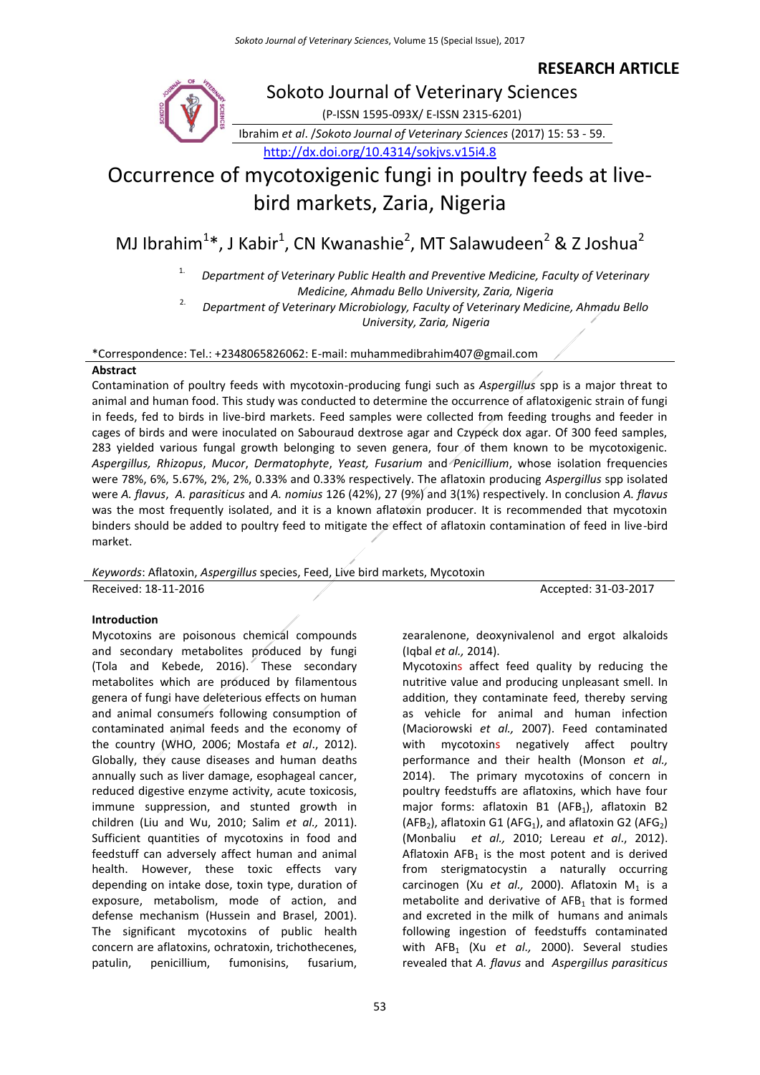# **RESEARCH ARTICLE**



# Occurrence of mycotoxigenic fungi in poultry feeds at livebird markets, Zaria, Nigeria

MJ Ibrahim<sup>1</sup>\*, J Kabir<sup>1</sup>, CN Kwanashie<sup>2</sup>, MT Salawudeen<sup>2</sup> & Z Joshua<sup>2</sup>

1. *Department of Veterinary Public Health and Preventive Medicine, Faculty of Veterinary Medicine, Ahmadu Bello University, Zaria, Nigeria*

2. *Department of Veterinary Microbiology, Faculty of Veterinary Medicine, Ahmadu Bello University, Zaria, Nigeria*

\*Correspondence: Tel.: +2348065826062: E-mail: muhammedibrahim407@gmail.com

# **Abstract**

Contamination of poultry feeds with mycotoxin-producing fungi such as *Aspergillus* spp is a major threat to animal and human food. This study was conducted to determine the occurrence of aflatoxigenic strain of fungi in feeds, fed to birds in live-bird markets. Feed samples were collected from feeding troughs and feeder in cages of birds and were inoculated on Sabouraud dextrose agar and Czypeck dox agar. Of 300 feed samples, 283 yielded various fungal growth belonging to seven genera, four of them known to be mycotoxigenic. *Aspergillus, Rhizopus*, *Mucor*, *Dermatophyte*, *Yeast, Fusarium* and *Penicillium*, whose isolation frequencies were 78%, 6%, 5.67%, 2%, 2%, 0.33% and 0.33% respectively. The aflatoxin producing *Aspergillus* spp isolated were *A. flavus*, *A. parasiticus* and *A. nomius* 126 (42%), 27 (9%) and 3(1%) respectively. In conclusion *A. flavus* was the most frequently isolated, and it is a known aflatoxin producer. It is recommended that mycotoxin binders should be added to poultry feed to mitigate the effect of aflatoxin contamination of feed in live-bird market.

*Keywords*: Aflatoxin, *Aspergillus* species, Feed, Live bird markets, Mycotoxin

Received: 18-11-2016 **Accepted: 31-03-2017** 

# **Introduction**

Mycotoxins are poisonous chemical compounds and secondary metabolites produced by fungi (Tola and Kebede, 2016). These secondary metabolites which are produced by filamentous genera of fungi have deleterious effects on human and animal consumers following consumption of contaminated animal feeds and the economy of the country (WHO, 2006; Mostafa *et al*., 2012). Globally, they cause diseases and human deaths annually such as liver damage, esophageal cancer, reduced digestive enzyme activity, acute toxicosis, immune suppression, and stunted growth in children (Liu and Wu, 2010; Salim *et al.,* 2011). Sufficient quantities of mycotoxins in food and feedstuff can adversely affect human and animal health. However, these toxic effects vary depending on intake dose, toxin type, duration of exposure, metabolism, mode of action, and defense mechanism (Hussein and Brasel, 2001). The significant mycotoxins of public health concern are aflatoxins, ochratoxin, trichothecenes, patulin, penicillium, fumonisins, fusarium,

performance and their health (Monson *et al.,* 2014). The primary mycotoxins of concern in

(Iqbal *et al.,* 2014).

poultry feedstuffs are aflatoxins, which have four major forms: aflatoxin B1 ( $AFB<sub>1</sub>$ ), aflatoxin B2  $(AFB<sub>2</sub>)$ , aflatoxin G1 (AFG<sub>1</sub>), and aflatoxin G2 (AFG<sub>2</sub>) (Monbaliu *et al.,* 2010; Lereau *et al*., 2012). Aflatoxin  $AFB<sub>1</sub>$  is the most potent and is derived from sterigmatocystin a naturally occurring carcinogen (Xu *et al.,* 2000). Aflatoxin  $M_1$  is a metabolite and derivative of  $AFB<sub>1</sub>$  that is formed and excreted in the milk of humans and animals following ingestion of feedstuffs contaminated with AFB<sub>1</sub> (Xu et al., 2000). Several studies revealed that *A. flavus* and *Aspergillus parasiticus* 

zearalenone, deoxynivalenol and ergot alkaloids

Mycotoxins affect feed quality by reducing the nutritive value and producing unpleasant smell. In addition, they contaminate feed, thereby serving as vehicle for animal and human infection (Maciorowski *et al.,* 2007). Feed contaminated with mycotoxins negatively affect poultry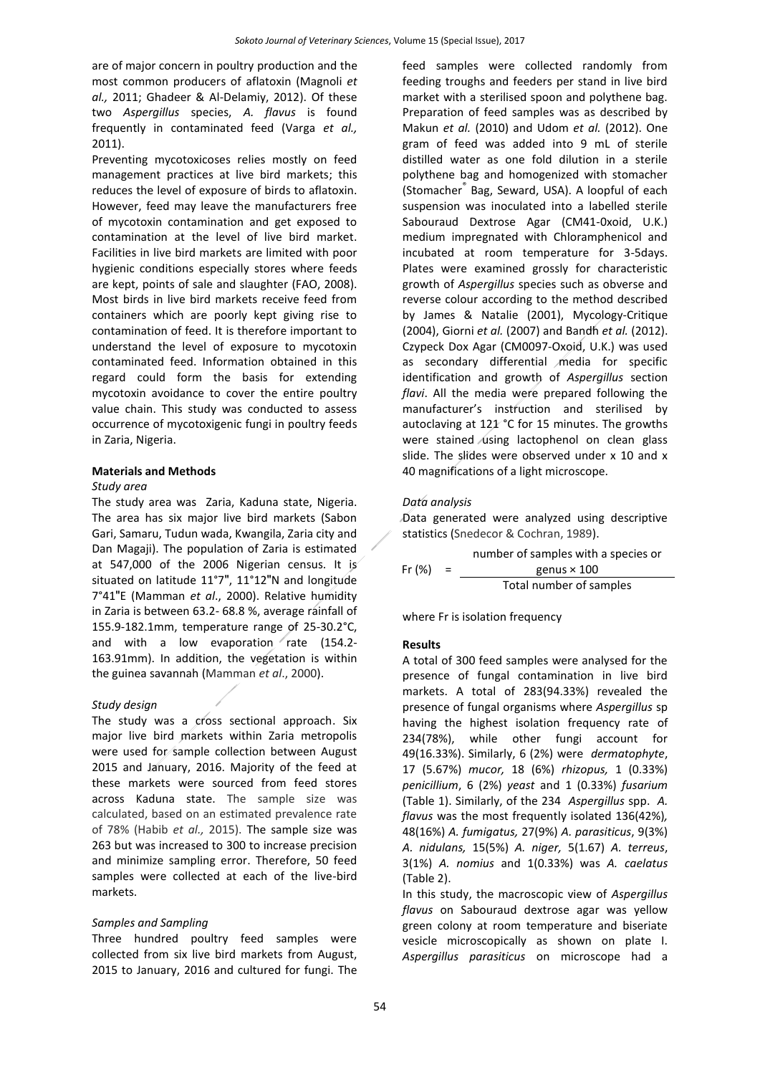are of major concern in poultry production and the most common producers of aflatoxin (Magnoli *et al.,* 2011; Ghadeer & Al-Delamiy, 2012). Of these two *Aspergillus* species, *A. flavus* is found frequently in contaminated feed (Varga *et al.,* 2011).

Preventing mycotoxicoses relies mostly on feed management practices at live bird markets; this reduces the level of exposure of birds to aflatoxin. However, feed may leave the manufacturers free of mycotoxin contamination and get exposed to contamination at the level of live bird market. Facilities in live bird markets are limited with poor hygienic conditions especially stores where feeds are kept, points of sale and slaughter (FAO, 2008). Most birds in live bird markets receive feed from containers which are poorly kept giving rise to contamination of feed. It is therefore important to understand the level of exposure to mycotoxin contaminated feed. Information obtained in this regard could form the basis for extending mycotoxin avoidance to cover the entire poultry value chain. This study was conducted to assess occurrence of mycotoxigenic fungi in poultry feeds in Zaria, Nigeria.

#### **Materials and Methods**

#### *Study area*

The study area was Zaria, Kaduna state, Nigeria. The area has six major live bird markets (Sabon Gari, Samaru, Tudun wada, Kwangila, Zaria city and Dan Magaji). The population of Zaria is estimated at 547,000 of the 2006 Nigerian census. It is situated on latitude 11°7", 11°12"N and longitude 7°41ʺE (Mamman *et al*., 2000). Relative humidity in Zaria is between 63.2- 68.8 %, average rainfall of 155.9-182.1mm, temperature range of 25-30.2°C, and with a low evaporation rate (154.2-163.91mm). In addition, the vegetation is within the guinea savannah (Mamman *et al*., 2000).

### *Study design*

The study was a cross sectional approach. Six major live bird markets within Zaria metropolis were used for sample collection between August 2015 and January, 2016. Majority of the feed at these markets were sourced from feed stores across Kaduna state. The sample size was calculated, based on an estimated prevalence rate of 78% (Habib *et al.,* 2015). The sample size was 263 but was increased to 300 to increase precision and minimize sampling error. Therefore, 50 feed samples were collected at each of the live-bird markets.

### *Samples and Sampling*

Three hundred poultry feed samples were collected from six live bird markets from August, 2015 to January, 2016 and cultured for fungi. The

feed samples were collected randomly from feeding troughs and feeders per stand in live bird market with a sterilised spoon and polythene bag. Preparation of feed samples was as described by Makun *et al.* (2010) and Udom *et al.* (2012). One gram of feed was added into 9 mL of sterile distilled water as one fold dilution in a sterile polythene bag and homogenized with stomacher (Stomacher® Bag, Seward, USA). A loopful of each suspension was inoculated into a labelled sterile Sabouraud Dextrose Agar (CM41-0xoid, U.K.) medium impregnated with Chloramphenicol and incubated at room temperature for 3-5days. Plates were examined grossly for characteristic growth of *Aspergillus* species such as obverse and reverse colour according to the method described by James & Natalie (2001), Mycology-Critique (2004), Giorni *et al.* (2007) and Bandh *et al.* (2012). Czypeck Dox Agar (CM0097-Oxoid, U.K.) was used as secondary differential media for specific identification and growth of *Aspergillus* section *flavi*. All the media were prepared following the manufacturer's instruction and sterilised by autoclaving at 121 °C for 15 minutes. The growths were stained  $\lambda$ using lactophenol on clean glass slide. The slides were observed under x 10 and x 40 magnifications of a light microscope.

### *Data analysis*

Data generated were analyzed using descriptive statistics (Snedecor & Cochran, 1989).

 $Fr (%) =$ number of samples with a species or genus × 100 Total number of samples

where Fr is isolation frequency

#### **Results**

A total of 300 feed samples were analysed for the presence of fungal contamination in live bird markets. A total of 283(94.33%) revealed the presence of fungal organisms where *Aspergillus* sp having the highest isolation frequency rate of 234(78%), while other fungi account for 49(16.33%). Similarly, 6 (2%) were *dermatophyte*, 17 (5.67%) *mucor,* 18 (6%) *rhizopus,* 1 (0.33%) *penicillium*, 6 (2%) *yeast* and 1 (0.33%) *fusarium*  (Table 1). Similarly, of the 234 *Aspergillus* spp. *A. flavus* was the most frequently isolated 136(42%)*,* 48(16%) *A. fumigatus,* 27(9%) *A. parasiticus*, 9(3%) *A. nidulans,* 15(5%) *A. niger,* 5(1.67) *A. terreus*, 3(1%) *A. nomius* and 1(0.33%) was *A. caelatus* (Table 2).

In this study, the macroscopic view of *Aspergillus flavus* on Sabouraud dextrose agar was yellow green colony at room temperature and biseriate vesicle microscopically as shown on plate I. *Aspergillus parasiticus* on microscope had a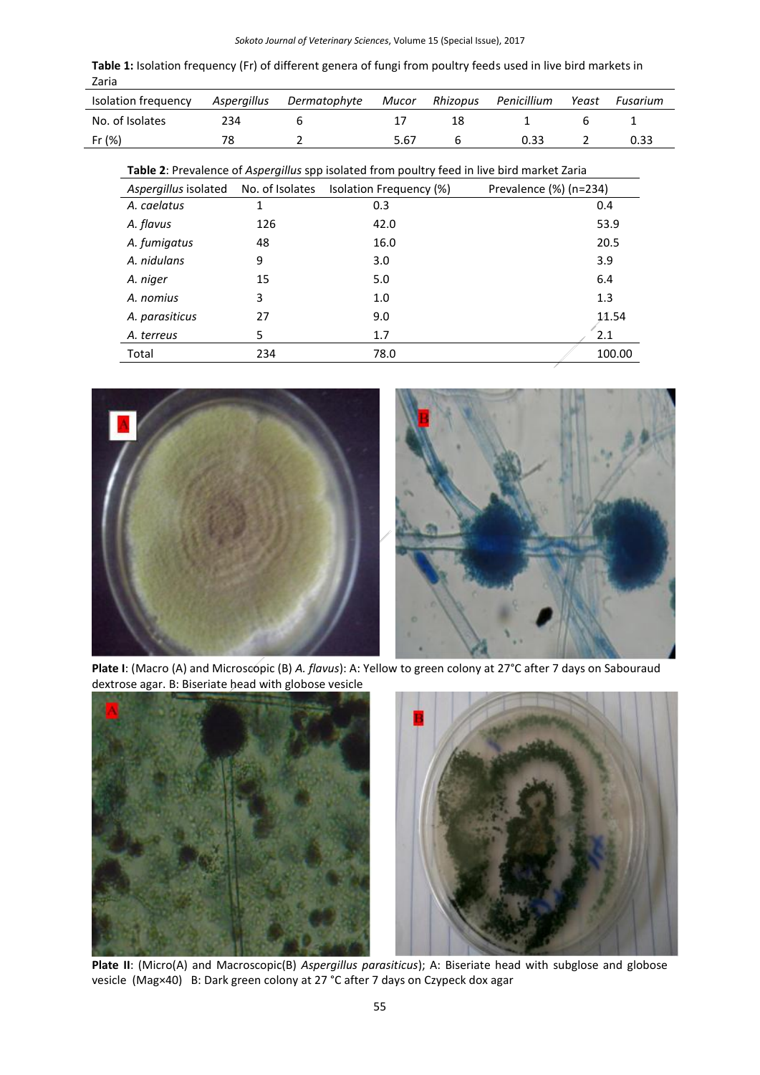**Table 1:** Isolation frequency (Fr) of different genera of fungi from poultry feeds used in live bird markets in Zaria

| Isolation frequency | Aspergillus Dermatophyte | Mucor | Rhizopus | Penicillium | Yeast | Fusarium |
|---------------------|--------------------------|-------|----------|-------------|-------|----------|
| No. of Isolates     |                          |       |          |             |       |          |
| Fr (%)              |                          | 5.67  |          |             |       | 0.33     |

|                      |                 | Table 2: Prevalence of Aspergillus spp isolated from poultry feed in live bird market Zaria |                           |
|----------------------|-----------------|---------------------------------------------------------------------------------------------|---------------------------|
| Aspergillus isolated | No. of Isolates | Isolation Frequency (%)                                                                     | Prevalence $(\%)$ (n=234) |
| A. caelatus          |                 | 0.3                                                                                         | 0.4                       |
| A. flavus            | 126             | 42.0                                                                                        | 53.9                      |
| A. fumigatus         | 48              | 16.0                                                                                        | 20.5                      |
| A. nidulans          | 9               | 3.0                                                                                         | 3.9                       |
| A. niger             | 15              | 5.0                                                                                         | 6.4                       |
| A. nomius            | 3               | 1.0                                                                                         | 1.3                       |
| A. parasiticus       | 27              | 9.0                                                                                         | 11.54                     |
| A. terreus           | 5               | 1.7                                                                                         | 2.1                       |
| Total                | 234             | 78.0                                                                                        | 100.00                    |



**Plate I**: (Macro (A) and Microscopic (B) *A. flavus*): A: Yellow to green colony at 27°C after 7 days on Sabouraud dextrose agar. B: Biseriate head with globose vesicle



**Plate II**: (Micro(A) and Macroscopic(B) *Aspergillus parasiticus*); A: Biseriate head with subglose and globose vesicle (Mag×40) B: Dark green colony at 27 °C after 7 days on Czypeck dox agar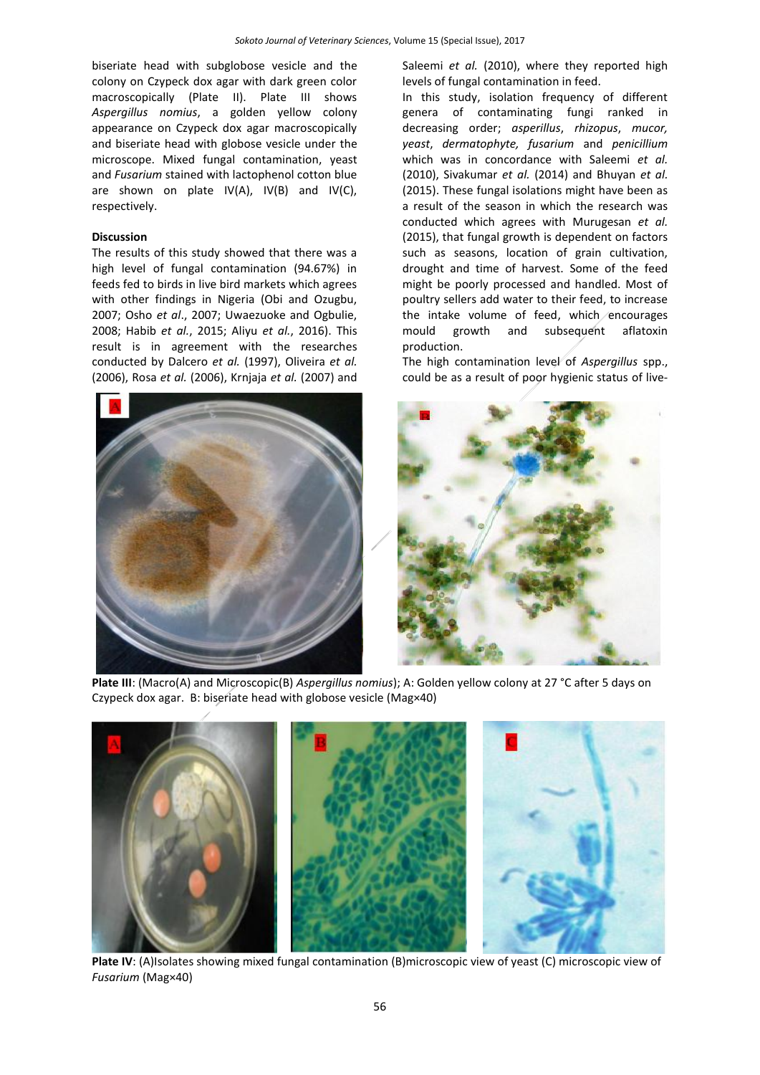biseriate head with subglobose vesicle and the colony on Czypeck dox agar with dark green color macroscopically (Plate II). Plate III shows *Aspergillus nomius*, a golden yellow colony appearance on Czypeck dox agar macroscopically and biseriate head with globose vesicle under the microscope. Mixed fungal contamination, yeast and *Fusarium* stained with lactophenol cotton blue are shown on plate  $IV(A)$ ,  $IV(B)$  and  $IV(C)$ , respectively.

#### **Discussion**

The results of this study showed that there was a high level of fungal contamination (94.67%) in feeds fed to birds in live bird markets which agrees with other findings in Nigeria (Obi and Ozugbu, 2007; Osho *et al*., 2007; Uwaezuoke and Ogbulie, 2008; Habib *et al.*, 2015; Aliyu *et al.*, 2016). This result is in agreement with the researches conducted by Dalcero *et al.* (1997), Oliveira *et al.*  (2006), Rosa *et al.* (2006), Krnjaja *et al.* (2007) and Saleemi *et al.* (2010), where they reported high levels of fungal contamination in feed.

In this study, isolation frequency of different genera of contaminating fungi ranked in decreasing order; *asperillus*, *rhizopus*, *mucor, yeast*, *dermatophyte, fusarium* and *penicillium* which was in concordance with Saleemi *et al.* (2010), Sivakumar *et al.* (2014) and Bhuyan *et al.* (2015). These fungal isolations might have been as a result of the season in which the research was conducted which agrees with Murugesan *et al.* (2015), that fungal growth is dependent on factors such as seasons, location of grain cultivation, drought and time of harvest. Some of the feed might be poorly processed and handled. Most of poultry sellers add water to their feed, to increase the intake volume of feed, which encourages mould growth and subsequent aflatoxin production.

The high contamination level of *Aspergillus* spp., could be as a result of poor hygienic status of live-



**Plate III**: (Macro(A) and Microscopic(B) *Aspergillus nomius*); A: Golden yellow colony at 27 °C after 5 days on Czypeck dox agar. B: biseriate head with globose vesicle (Mag×40)



**Plate IV**: (A)Isolates showing mixed fungal contamination (B)microscopic view of yeast (C) microscopic view of *Fusarium* (Mag×40)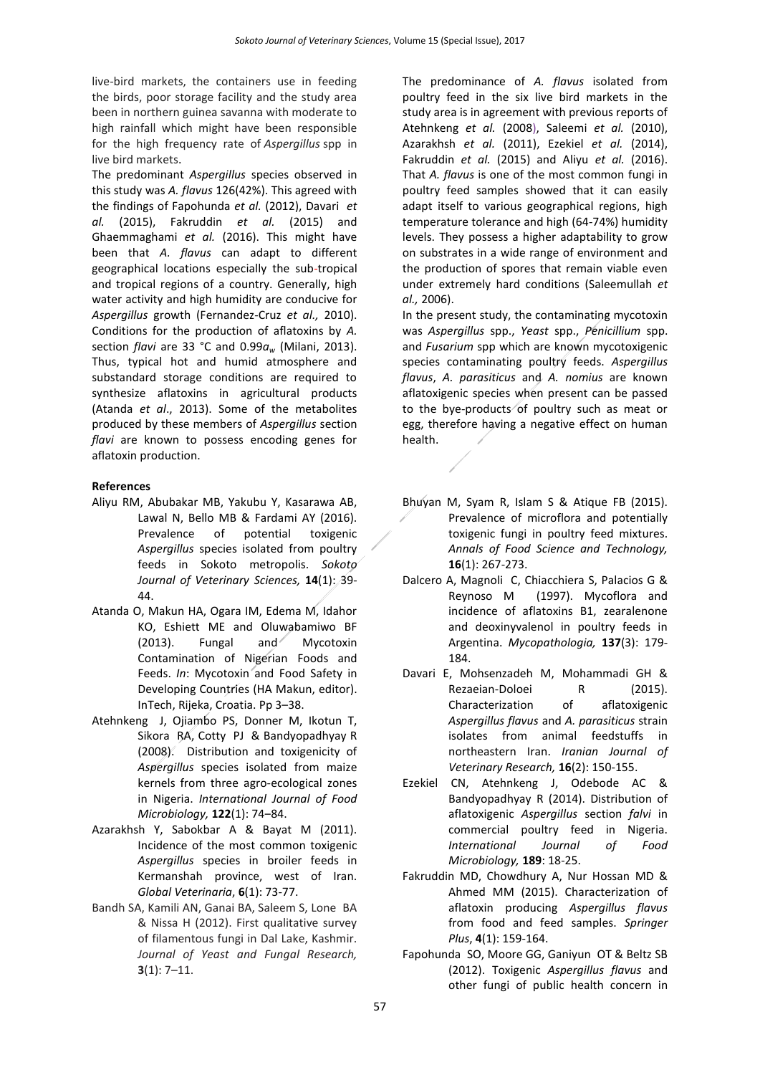live-bird markets, the containers use in feeding the birds, poor storage facility and the study area been in northern guinea savanna with moderate to high rainfall which might have been responsible for the high frequency rate of *Aspergillus* spp in live bird markets.

The predominant *Aspergillus* species observed in this study was *A. flavus* 126(42%). This agreed with the findings of Fapohunda *et al.* (2012), Davari *et al.* (2015), Fakruddin *et al.* (2015) and Ghaemmaghami *et al.* (2016). This might have been that *A. flavus* can adapt to different geographical locations especially the sub-tropical and tropical regions of a country. Generally, high water activity and high humidity are conducive for *Aspergillus* growth (Fernandez-Cruz *et al.,* 2010). Conditions for the production of aflatoxins by *A.*  section *flavi* are 33 °C and 0.99*a<sup>w</sup>* (Milani, 2013). Thus, typical hot and humid atmosphere and substandard storage conditions are required to synthesize aflatoxins in agricultural products (Atanda *et al*., 2013). Some of the metabolites produced by these members of *Aspergillus* section *flavi* are known to possess encoding genes for aflatoxin production.

# **References**

- Aliyu RM, Abubakar MB, Yakubu Y, Kasarawa AB, Lawal N, Bello MB & Fardami AY (2016). Prevalence of potential toxigenic *Aspergillus* species isolated from poultry feeds in Sokoto metropolis. *Sokoto Journal of Veterinary Sciences,* **14**(1): 39- 44.
- Atanda O, Makun HA, Ogara IM, Edema M, Idahor KO, Eshiett ME and Oluwabamiwo BF (2013). Fungal and Mycotoxin Contamination of Nigerian Foods and Feeds. *In*: Mycotoxin and Food Safety in Developing Countries (HA Makun, editor). InTech, Rijeka, Croatia. Pp 3–38.
- Atehnkeng J, Ojiambo PS, Donner M, Ikotun T, Sikora RA, Cotty PJ & Bandyopadhyay R (2008). Distribution and toxigenicity of *Aspergillus* species isolated from maize kernels from three agro-ecological zones in Nigeria. *International Journal of Food Microbiology,* **122**(1): 74‒84.
- Azarakhsh Y, Sabokbar A & Bayat M (2011). Incidence of the most common toxigenic *Aspergillus* species in broiler feeds in Kermanshah province, west of Iran. *Global Veterinaria*, **6**(1): 73-77.
- Bandh SA, Kamili AN, Ganai BA, Saleem S, Lone BA & Nissa H (2012). First qualitative survey of filamentous fungi in Dal Lake, Kashmir. *Journal of Yeast and Fungal Research,* **3**(1): 7–11.

The predominance of *A. flavus* isolated from poultry feed in the six live bird markets in the study area is in agreement with previous reports of Atehnkeng *et al.* (2008), Saleemi *et al.* (2010), Azarakhsh *et al.* (2011), Ezekiel *et al.* (2014), Fakruddin *et al.* (2015) and Aliyu *et al.* (2016). That *A. flavus* is one of the most common fungi in poultry feed samples showed that it can easily adapt itself to various geographical regions, high temperature tolerance and high (64-74%) humidity levels. They possess a higher adaptability to grow on substrates in a wide range of environment and the production of spores that remain viable even under extremely hard conditions (Saleemullah *et al.,* 2006).

In the present study, the contaminating mycotoxin was *Aspergillus* spp., *Yeast* spp., *Penicillium* spp. and *Fusarium* spp which are known mycotoxigenic species contaminating poultry feeds. *Aspergillus flavus*, *A. parasiticus* and *A. nomius* are known aflatoxigenic species when present can be passed to the bye-products of poultry such as meat or egg, therefore having a negative effect on human health.

- Bhuyan M, Syam R, Islam S & Atique FB (2015). Prevalence of microflora and potentially toxigenic fungi in poultry feed mixtures. *Annals of Food Science and Technology,*  **16**(1): 267-273.
- Dalcero A, Magnoli C, Chiacchiera S, Palacios G & Reynoso M (1997). Mycoflora and incidence of aflatoxins B1, zearalenone and deoxinyvalenol in poultry feeds in Argentina. *Mycopathologia,* **137**(3): 179- 184.
- Davari E, Mohsenzadeh M, Mohammadi GH & Rezaeian-Doloei R (2015). Characterization of aflatoxigenic *Aspergillus flavus* and *A. parasiticus* strain isolates from animal feedstuffs in northeastern Iran. *Iranian Journal of Veterinary Research,* **16**(2): 150-155.
- Ezekiel CN, Atehnkeng J, Odebode AC & Bandyopadhyay R (2014). Distribution of aflatoxigenic *Aspergillus* section *falvi* in commercial poultry feed in Nigeria. *International Journal of Food Microbiology,* **189**: 18-25.
- Fakruddin MD, Chowdhury A, Nur Hossan MD & Ahmed MM (2015). Characterization of aflatoxin producing *Aspergillus flavus* from food and feed samples. *Springer Plus*, **4**(1): 159-164.
- Fapohunda SO, Moore GG, Ganiyun OT & Beltz SB (2012). Toxigenic *Aspergillus flavus* and other fungi of public health concern in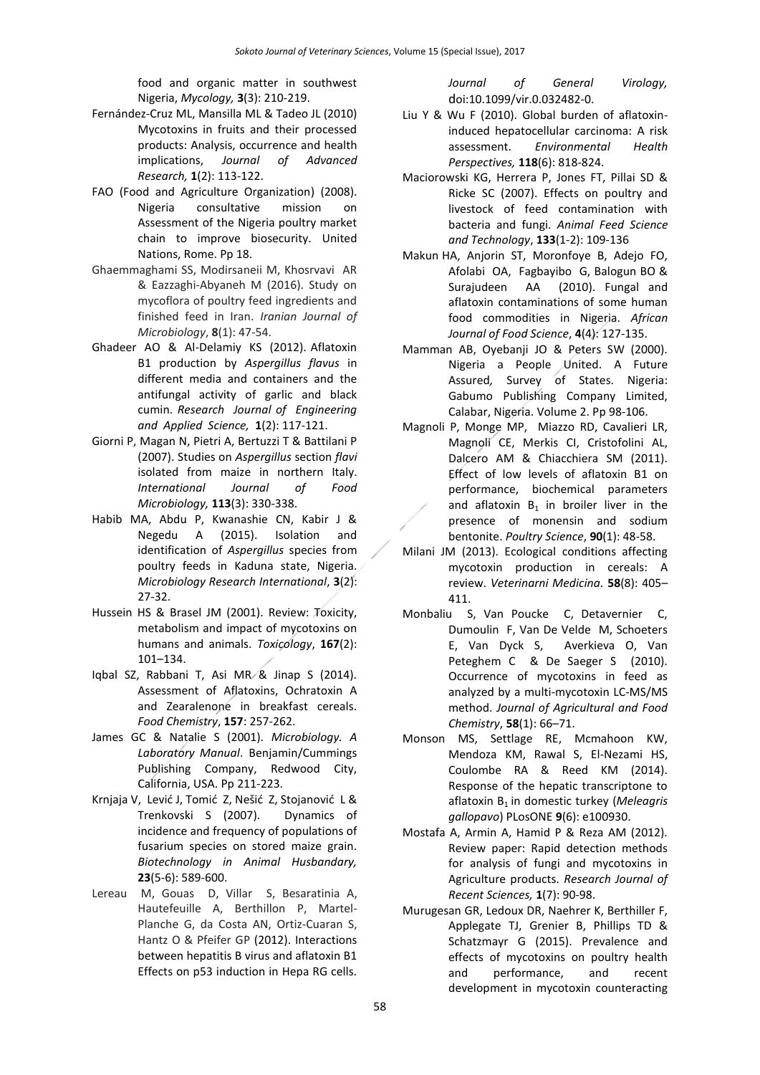food and organic matter in southwest Nigeria, *Mycology,* **3**(3): 210-219.

- Fernández-Cruz ML, Mansilla ML & Tadeo JL (2010) Mycotoxins in fruits and their processed products: Analysis, occurrence and health implications, *Journal of Advanced Research,* **1**(2): 113-122.
- FAO (Food and Agriculture Organization) (2008). Nigeria consultative mission on Assessment of the Nigeria poultry market chain to improve biosecurity. United Nations, Rome. Pp 18.
- Ghaemmaghami SS, Modirsaneii M, Khosrvavi AR & Eazzaghi-Abyaneh M (2016). Study on mycoflora of poultry feed ingredients and finished feed in Iran. *Iranian Journal of Microbiology*, **8**(1): 47-54.
- Ghadeer AO & Al-Delamiy KS (2012). Aflatoxin B1 production by *Aspergillus flavus* in different media and containers and the antifungal activity of garlic and black cumin. *Research Journal of Engineering and Applied Science,* **1**(2): 117-121.
- Giorni P, Magan N, Pietri A, Bertuzzi T & Battilani P (2007). Studies on *Aspergillus* section *flavi* isolated from maize in northern Italy. *International Journal of Food Microbiology,* **113**(3): 330-338.
- Habib MA, Abdu P, Kwanashie CN, Kabir J & Negedu A (2015). Isolation and identification of *Aspergillus* species from poultry feeds in Kaduna state, Nigeria. *Microbiology Research International*, **3**(2): 27-32.
- Hussein HS & Brasel JM (2001). Review: Toxicity, metabolism and impact of mycotoxins on humans and animals. *Toxicology*, **167**(2): 101–134.
- Iqbal SZ, Rabbani T, Asi MR & Jinap S (2014). Assessment of Aflatoxins, Ochratoxin A and Zearalenone in breakfast cereals. *Food Chemistry*, **157**: 257-262.
- James GC & Natalie S (2001). *Microbiology. A Laboratory Manual*. Benjamin/Cummings Publishing Company, Redwood City, California, USA. Pp 211-223.
- Krnjaja V, Lević J, Tomić Z, Nešić Z, Stojanović L & Trenkovski S (2007). Dynamics of incidence and frequency of populations of fusarium species on stored maize grain. *Biotechnology in Animal Husbandary,* **23**(5-6): 589-600.
- Lereau M, Gouas D, Villar S, Besaratinia A, Hautefeuille A, Berthillon P, Martel-Planche G, da Costa AN, Ortiz-Cuaran S, Hantz O & Pfeifer GP (2012). Interactions between hepatitis B virus and aflatoxin B1 Effects on p53 induction in Hepa RG cells.

*Journal of General Virology,*  d[oi:10.1099/vir.0.032482-0.](http://dx.doi.org/10.1099/vir.0.032482-0)

- Liu Y & Wu F (2010). Global burden of aflatoxininduced hepatocellular carcinoma: A risk assessment. *Environmental Health Perspectives,* **118**(6): 818-824.
- Maciorowski KG, Herrera P, Jones FT, Pillai SD & Ricke SC (2007). Effects on poultry and livestock of feed contamination with bacteria and fungi. *Animal Feed Science and Technology*, **133**(1-2): 109-136
- Makun HA, Anjorin ST, Moronfoye B, Adejo FO, Afolabi OA, Fagbayibo G, Balogun BO & Surajudeen AA (2010). Fungal and aflatoxin contaminations of some human food commodities in Nigeria. *African Journal of Food Science*, **4**(4): 127-135.
- Mamman AB, Oyebanji JO & Peters SW (2000). Nigeria a People United. A Future Assured*,* Survey of States. Nigeria: Gabumo Publishing Company Limited, Calabar, Nigeria. Volume 2. Pp 98-106.
- Magnoli P, Monge MP, Miazzo RD, Cavalieri LR, Magnoli CE, Merkis CI, Cristofolini AL, Dalcero AM & Chiacchiera SM (2011). Effect of low levels of aflatoxin B1 on performance, biochemical parameters and aflatoxin  $B_1$  in broiler liver in the presence of monensin and sodium bentonite. *Poultry Science*, **90**(1): 48-58.
- Milani JM (2013). Ecological conditions affecting mycotoxin production in cereals: A review. *Veterinarni Medicina.* **58**(8): 405– 411.
- Monbaliu S, Van Poucke C, Detavernier C, Dumoulin F, Van De Velde M, Schoeters E, Van Dyck S, Averkieva O, Van Peteghem C & De Saeger S (2010). Occurrence of mycotoxins in feed as analyzed by a multi-mycotoxin LC-MS/MS method. *Journal of Agricultural and Food Chemistry*, **58**(1): 66–71.
- Monson MS, Settlage RE, Mcmahoon KW, Mendoza KM, Rawal S, El-Nezami HS, Coulombe RA & Reed KM (2014). Response of the hepatic transcriptone to aflatoxin B1 in domestic turkey (*Meleagris gallopavo*) PLosONE **9**(6): e100930.
- Mostafa A, Armin A, Hamid P & Reza AM (2012). Review paper: Rapid detection methods for analysis of fungi and mycotoxins in Agriculture products. *Research Journal of Recent Sciences,* **1**(7): 90-98.
- Murugesan GR, Ledoux DR, Naehrer K, Berthiller F, Applegate TJ, Grenier B, Phillips TD & Schatzmayr G (2015). Prevalence and effects of mycotoxins on poultry health and performance, and recent development in mycotoxin counteracting